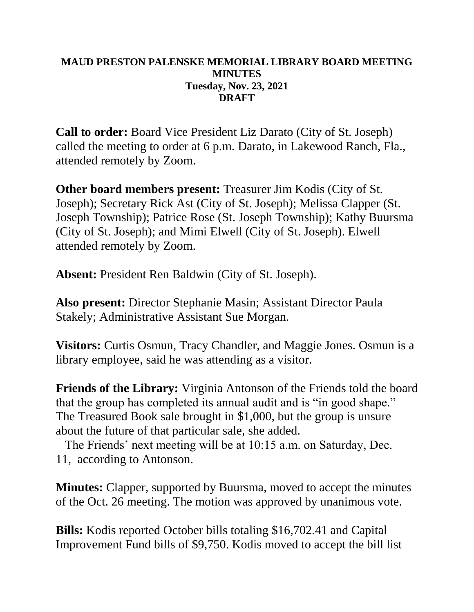## **MAUD PRESTON PALENSKE MEMORIAL LIBRARY BOARD MEETING MINUTES Tuesday, Nov. 23, 2021 DRAFT**

**Call to order:** Board Vice President Liz Darato (City of St. Joseph) called the meeting to order at 6 p.m. Darato, in Lakewood Ranch, Fla., attended remotely by Zoom.

**Other board members present:** Treasurer Jim Kodis (City of St. Joseph); Secretary Rick Ast (City of St. Joseph); Melissa Clapper (St. Joseph Township); Patrice Rose (St. Joseph Township); Kathy Buursma (City of St. Joseph); and Mimi Elwell (City of St. Joseph). Elwell attended remotely by Zoom.

**Absent:** President Ren Baldwin (City of St. Joseph).

**Also present:** Director Stephanie Masin; Assistant Director Paula Stakely; Administrative Assistant Sue Morgan.

**Visitors:** Curtis Osmun, Tracy Chandler, and Maggie Jones. Osmun is a library employee, said he was attending as a visitor.

**Friends of the Library:** Virginia Antonson of the Friends told the board that the group has completed its annual audit and is "in good shape." The Treasured Book sale brought in \$1,000, but the group is unsure about the future of that particular sale, she added.

 The Friends' next meeting will be at 10:15 a.m. on Saturday, Dec. 11, according to Antonson.

**Minutes:** Clapper, supported by Buursma, moved to accept the minutes of the Oct. 26 meeting. The motion was approved by unanimous vote.

**Bills:** Kodis reported October bills totaling \$16,702.41 and Capital Improvement Fund bills of \$9,750. Kodis moved to accept the bill list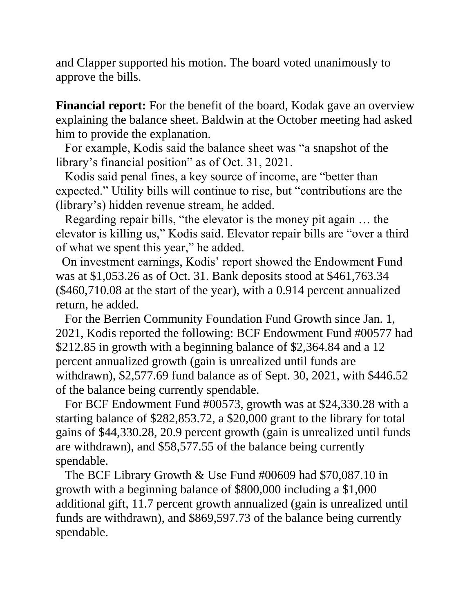and Clapper supported his motion. The board voted unanimously to approve the bills.

**Financial report:** For the benefit of the board, Kodak gave an overview explaining the balance sheet. Baldwin at the October meeting had asked him to provide the explanation.

 For example, Kodis said the balance sheet was "a snapshot of the library's financial position" as of Oct. 31, 2021.

 Kodis said penal fines, a key source of income, are "better than expected." Utility bills will continue to rise, but "contributions are the (library's) hidden revenue stream, he added.

 Regarding repair bills, "the elevator is the money pit again … the elevator is killing us," Kodis said. Elevator repair bills are "over a third of what we spent this year," he added.

On investment earnings, Kodis' report showed the Endowment Fund was at \$1,053.26 as of Oct. 31. Bank deposits stood at \$461,763.34 (\$460,710.08 at the start of the year), with a 0.914 percent annualized return, he added.

 For the Berrien Community Foundation Fund Growth since Jan. 1, 2021, Kodis reported the following: BCF Endowment Fund #00577 had \$212.85 in growth with a beginning balance of \$2,364.84 and a 12 percent annualized growth (gain is unrealized until funds are withdrawn), \$2,577.69 fund balance as of Sept. 30, 2021, with \$446.52 of the balance being currently spendable.

 For BCF Endowment Fund #00573, growth was at \$24,330.28 with a starting balance of \$282,853.72, a \$20,000 grant to the library for total gains of \$44,330.28, 20.9 percent growth (gain is unrealized until funds are withdrawn), and \$58,577.55 of the balance being currently spendable.

 The BCF Library Growth & Use Fund #00609 had \$70,087.10 in growth with a beginning balance of \$800,000 including a \$1,000 additional gift, 11.7 percent growth annualized (gain is unrealized until funds are withdrawn), and \$869,597.73 of the balance being currently spendable.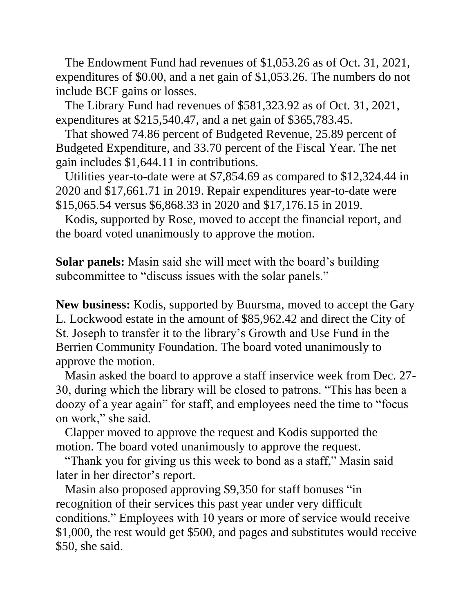The Endowment Fund had revenues of \$1,053.26 as of Oct. 31, 2021, expenditures of \$0.00, and a net gain of \$1,053.26. The numbers do not include BCF gains or losses.

 The Library Fund had revenues of \$581,323.92 as of Oct. 31, 2021, expenditures at \$215,540.47, and a net gain of \$365,783.45.

 That showed 74.86 percent of Budgeted Revenue, 25.89 percent of Budgeted Expenditure, and 33.70 percent of the Fiscal Year. The net gain includes \$1,644.11 in contributions.

 Utilities year-to-date were at \$7,854.69 as compared to \$12,324.44 in 2020 and \$17,661.71 in 2019. Repair expenditures year-to-date were \$15,065.54 versus \$6,868.33 in 2020 and \$17,176.15 in 2019.

 Kodis, supported by Rose, moved to accept the financial report, and the board voted unanimously to approve the motion.

**Solar panels:** Masin said she will meet with the board's building subcommittee to "discuss issues with the solar panels."

**New business:** Kodis, supported by Buursma, moved to accept the Gary L. Lockwood estate in the amount of \$85,962.42 and direct the City of St. Joseph to transfer it to the library's Growth and Use Fund in the Berrien Community Foundation. The board voted unanimously to approve the motion.

 Masin asked the board to approve a staff inservice week from Dec. 27- 30, during which the library will be closed to patrons. "This has been a doozy of a year again" for staff, and employees need the time to "focus on work," she said.

 Clapper moved to approve the request and Kodis supported the motion. The board voted unanimously to approve the request.

 "Thank you for giving us this week to bond as a staff," Masin said later in her director's report.

 Masin also proposed approving \$9,350 for staff bonuses "in recognition of their services this past year under very difficult conditions." Employees with 10 years or more of service would receive \$1,000, the rest would get \$500, and pages and substitutes would receive \$50, she said.